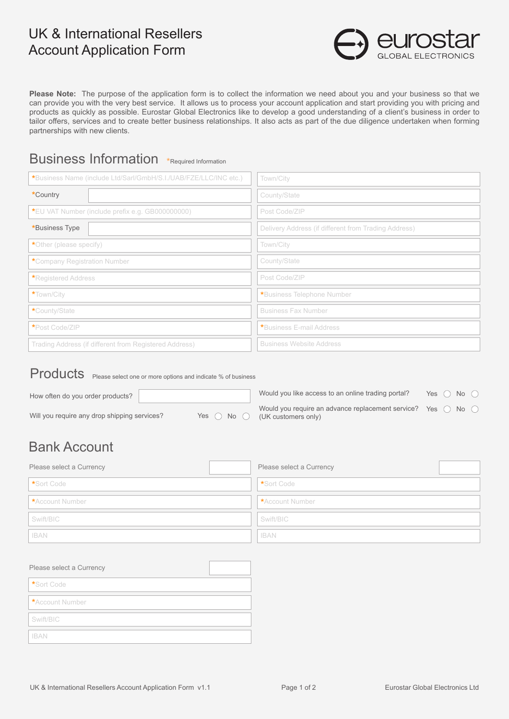# UK & International Resellers Account Application Form



**Please Note:** The purpose of the application form is to collect the information we need about you and your business so that we can provide you with the very best service. It allows us to process your account application and start providing you with pricing and products as quickly as possible. Eurostar Global Electronics like to develop a good understanding of a client's business in order to tailor offers, services and to create better business relationships. It also acts as part of the due diligence undertaken when forming partnerships with new clients.

## Business Information \*Required Information

| *Business Name (include Ltd/Sarl/GmbH/S.I./UAB/FZE/LLC/INC etc.) | Town/City                                            |
|------------------------------------------------------------------|------------------------------------------------------|
| *Country                                                         | County/State                                         |
| *EU VAT Number (include prefix e.g. GB000000000)                 | Post Code/ZIP                                        |
| *Business Type                                                   | Delivery Address (if different from Trading Address) |
| *Other (please specify)                                          | Town/City                                            |
| *Company Registration Number                                     | County/State                                         |
| *Registered Address                                              | Post Code/ZIP                                        |
| *Town/City                                                       | *Business Telephone Number                           |
| *County/State                                                    | <b>Business Fax Number</b>                           |
| *Post Code/ZIP                                                   | *Business E-mail Address                             |
| Trading Address (if different from Registered Address)           | <b>Business Website Address</b>                      |

Products Please select one or more options and indicate % of business

| How often do you order products?             |                              | Would you like access to an online trading portal?                                     | Yes $( )$ | No $\bigcap$  |  |
|----------------------------------------------|------------------------------|----------------------------------------------------------------------------------------|-----------|---------------|--|
| Will you require any drop shipping services? | Yes $\bigcirc$ No $\bigcirc$ | Would you require an advance replacement service? Yes $\bigcap$<br>(UK customers only) |           | No $\bigcirc$ |  |

# Bank Account

| Please select a Currency | Please select a Currency |
|--------------------------|--------------------------|
| *Sort Code               | Sort Code                |
| *Account Number          | <b>*Account Number</b>   |
| Swift/BIC                | Swift/BIC                |
| <b>IBAN</b>              | <b>IBAN</b>              |

| Please select a Currency |  |
|--------------------------|--|
| *Sort Code               |  |
| *Account Number          |  |
| Swift/BIC                |  |
| <b>IBAN</b>              |  |